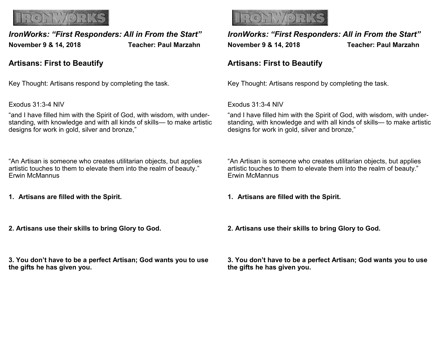

# *IronWorks: "First Responders: All in From the Start"* **November 9 & 14, 2018 Teacher: Paul Marzahn**

## **Artisans: First to Beautify**

Key Thought: Artisans respond by completing the task.

Exodus 31:3-4 NIV

"and I have filled him with the Spirit of God, with wisdom, with understanding, with knowledge and with all kinds of skills— to make artistic designs for work in gold, silver and bronze,"

"An Artisan is someone who creates utilitarian objects, but applies artistic touches to them to elevate them into the realm of beauty." Erwin McMannus

- **1. Artisans are filled with the Spirit.**
- **2. Artisans use their skills to bring Glory to God.**

**3. You don't have to be a perfect Artisan; God wants you to use the gifts he has given you.**



*IronWorks: "First Responders: All in From the Start"* **November 9 & 14, 2018 Teacher: Paul Marzahn** 

## **Artisans: First to Beautify**

Key Thought: Artisans respond by completing the task.

Exodus 31:3-4 NIV

"and I have filled him with the Spirit of God, with wisdom, with understanding, with knowledge and with all kinds of skills— to make artistic designs for work in gold, silver and bronze,"

"An Artisan is someone who creates utilitarian objects, but applies artistic touches to them to elevate them into the realm of beauty." Erwin McMannus

**1. Artisans are filled with the Spirit.**

**2. Artisans use their skills to bring Glory to God.**

**3. You don't have to be a perfect Artisan; God wants you to use the gifts he has given you.**